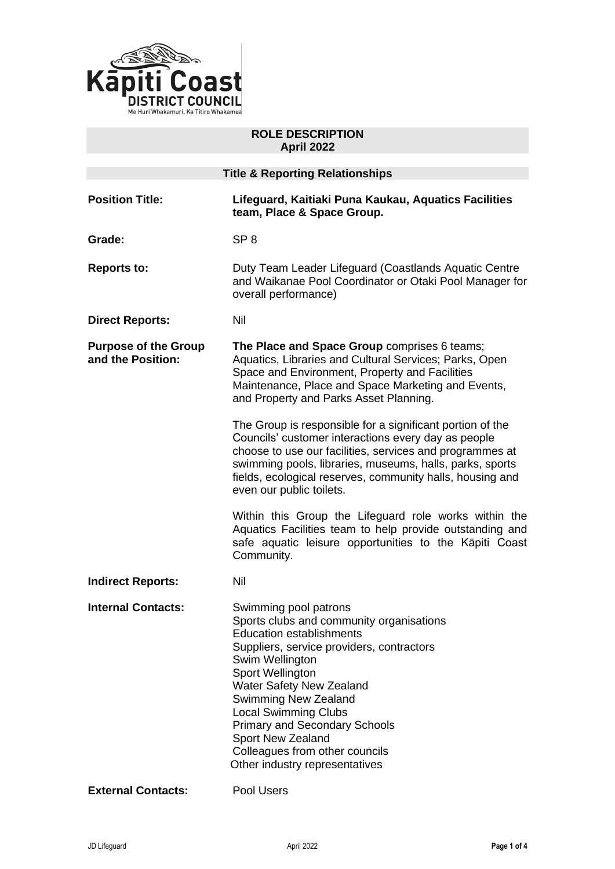

# **ROLE DESCRIPTION April 2022**

| <b>Title &amp; Reporting Relationships</b>       |                                                                                                                                                                                                                                                                                                                                                                                                                     |
|--------------------------------------------------|---------------------------------------------------------------------------------------------------------------------------------------------------------------------------------------------------------------------------------------------------------------------------------------------------------------------------------------------------------------------------------------------------------------------|
| <b>Position Title:</b>                           | Lifeguard, Kaitiaki Puna Kaukau, Aquatics Facilities<br>team, Place & Space Group.                                                                                                                                                                                                                                                                                                                                  |
| Grade:                                           | SP <sub>8</sub>                                                                                                                                                                                                                                                                                                                                                                                                     |
| <b>Reports to:</b>                               | Duty Team Leader Lifeguard (Coastlands Aquatic Centre<br>and Waikanae Pool Coordinator or Otaki Pool Manager for<br>overall performance)                                                                                                                                                                                                                                                                            |
| <b>Direct Reports:</b>                           | Nil                                                                                                                                                                                                                                                                                                                                                                                                                 |
| <b>Purpose of the Group</b><br>and the Position: | The Place and Space Group comprises 6 teams;<br>Aquatics, Libraries and Cultural Services; Parks, Open<br>Space and Environment, Property and Facilities<br>Maintenance, Place and Space Marketing and Events,<br>and Property and Parks Asset Planning.                                                                                                                                                            |
|                                                  | The Group is responsible for a significant portion of the<br>Councils' customer interactions every day as people<br>choose to use our facilities, services and programmes at<br>swimming pools, libraries, museums, halls, parks, sports<br>fields, ecological reserves, community halls, housing and<br>even our public toilets.                                                                                   |
|                                                  | Within this Group the Lifeguard role works within the<br>Aquatics Facilities team to help provide outstanding and<br>safe aquatic leisure opportunities to the Kāpiti Coast<br>Community.                                                                                                                                                                                                                           |
| <b>Indirect Reports:</b>                         | Nil                                                                                                                                                                                                                                                                                                                                                                                                                 |
| <b>Internal Contacts:</b>                        | Swimming pool patrons<br>Sports clubs and community organisations<br><b>Education establishments</b><br>Suppliers, service providers, contractors<br>Swim Wellington<br>Sport Wellington<br><b>Water Safety New Zealand</b><br>Swimming New Zealand<br><b>Local Swimming Clubs</b><br><b>Primary and Secondary Schools</b><br>Sport New Zealand<br>Colleagues from other councils<br>Other industry representatives |
| <b>External Contacts:</b>                        | Pool Users                                                                                                                                                                                                                                                                                                                                                                                                          |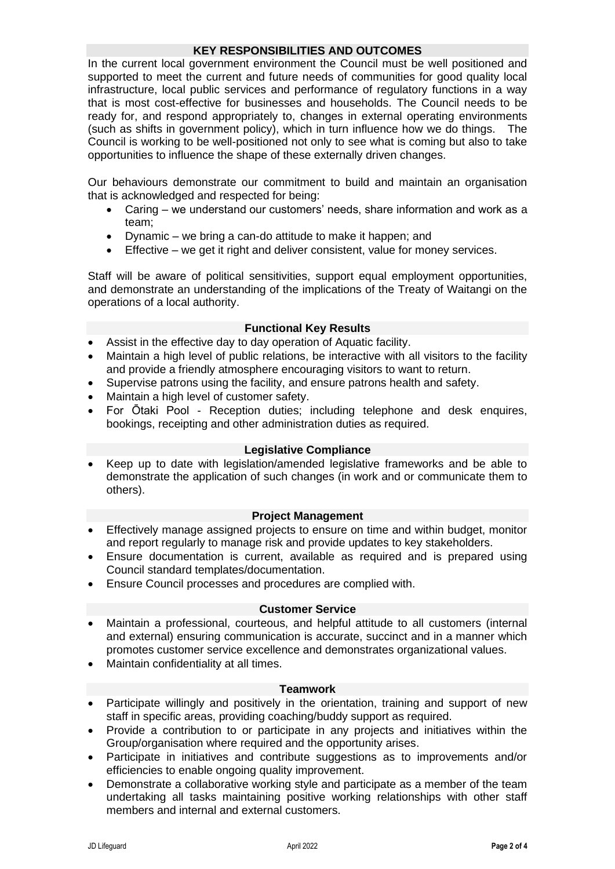# **KEY RESPONSIBILITIES AND OUTCOMES**

In the current local government environment the Council must be well positioned and supported to meet the current and future needs of communities for good quality local infrastructure, local public services and performance of regulatory functions in a way that is most cost-effective for businesses and households. The Council needs to be ready for, and respond appropriately to, changes in external operating environments (such as shifts in government policy), which in turn influence how we do things. The Council is working to be well-positioned not only to see what is coming but also to take opportunities to influence the shape of these externally driven changes.

Our behaviours demonstrate our commitment to build and maintain an organisation that is acknowledged and respected for being:

- Caring we understand our customers' needs, share information and work as a team;
- Dynamic we bring a can-do attitude to make it happen; and
- Effective we get it right and deliver consistent, value for money services.

Staff will be aware of political sensitivities, support equal employment opportunities, and demonstrate an understanding of the implications of the Treaty of Waitangi on the operations of a local authority.

# **Functional Key Results**

- Assist in the effective day to day operation of Aquatic facility.
- Maintain a high level of public relations, be interactive with all visitors to the facility and provide a friendly atmosphere encouraging visitors to want to return.
- Supervise patrons using the facility, and ensure patrons health and safety.
- Maintain a high level of customer safety.
- For Ōtaki Pool Reception duties; including telephone and desk enquires, bookings, receipting and other administration duties as required.

#### **Legislative Compliance**

• Keep up to date with legislation/amended legislative frameworks and be able to demonstrate the application of such changes (in work and or communicate them to others).

### **Project Management**

- Effectively manage assigned projects to ensure on time and within budget, monitor and report regularly to manage risk and provide updates to key stakeholders.
- Ensure documentation is current, available as required and is prepared using Council standard templates/documentation.
- Ensure Council processes and procedures are complied with.

### **Customer Service**

- Maintain a professional, courteous, and helpful attitude to all customers (internal and external) ensuring communication is accurate, succinct and in a manner which promotes customer service excellence and demonstrates organizational values.
- Maintain confidentiality at all times.

#### **Teamwork**

- Participate willingly and positively in the orientation, training and support of new staff in specific areas, providing coaching/buddy support as required.
- Provide a contribution to or participate in any projects and initiatives within the Group/organisation where required and the opportunity arises.
- Participate in initiatives and contribute suggestions as to improvements and/or efficiencies to enable ongoing quality improvement.
- Demonstrate a collaborative working style and participate as a member of the team undertaking all tasks maintaining positive working relationships with other staff members and internal and external customers.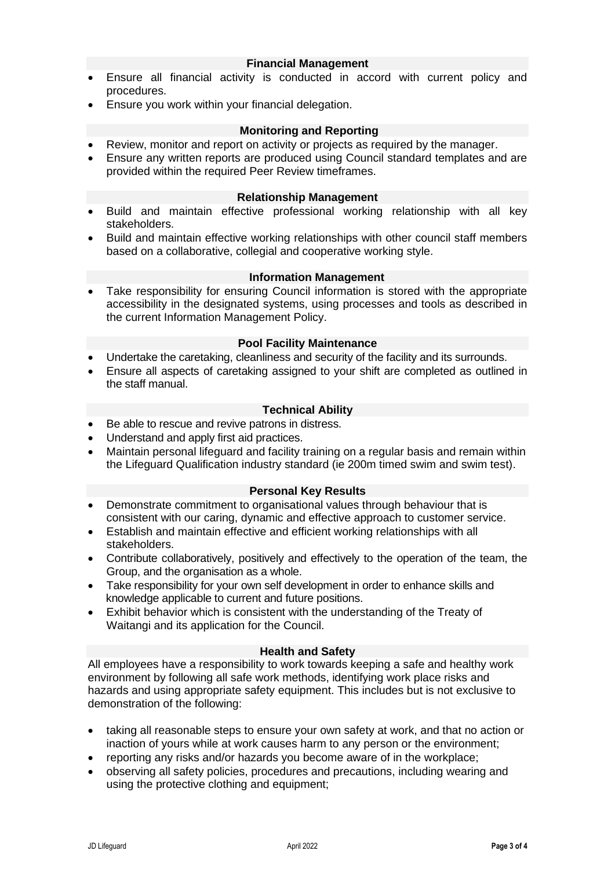# **Financial Management**

- Ensure all financial activity is conducted in accord with current policy and procedures.
- Ensure you work within your financial delegation.

# **Monitoring and Reporting**

- Review, monitor and report on activity or projects as required by the manager.
- Ensure any written reports are produced using Council standard templates and are provided within the required Peer Review timeframes.

### **Relationship Management**

- Build and maintain effective professional working relationship with all key stakeholders.
- Build and maintain effective working relationships with other council staff members based on a collaborative, collegial and cooperative working style.

# **Information Management**

• Take responsibility for ensuring Council information is stored with the appropriate accessibility in the designated systems, using processes and tools as described in the current Information Management Policy.

### **Pool Facility Maintenance**

- Undertake the caretaking, cleanliness and security of the facility and its surrounds.
- Ensure all aspects of caretaking assigned to your shift are completed as outlined in the staff manual.

# **Technical Ability**

- Be able to rescue and revive patrons in distress.
- Understand and apply first aid practices.
- Maintain personal lifeguard and facility training on a regular basis and remain within the Lifeguard Qualification industry standard (ie 200m timed swim and swim test).

### **Personal Key Results**

- Demonstrate commitment to organisational values through behaviour that is consistent with our caring, dynamic and effective approach to customer service.
- Establish and maintain effective and efficient working relationships with all stakeholders.
- Contribute collaboratively, positively and effectively to the operation of the team, the Group, and the organisation as a whole.
- Take responsibility for your own self development in order to enhance skills and knowledge applicable to current and future positions.
- Exhibit behavior which is consistent with the understanding of the Treaty of Waitangi and its application for the Council.

# **Health and Safety**

All employees have a responsibility to work towards keeping a safe and healthy work environment by following all safe work methods, identifying work place risks and hazards and using appropriate safety equipment. This includes but is not exclusive to demonstration of the following:

- taking all reasonable steps to ensure your own safety at work, and that no action or inaction of yours while at work causes harm to any person or the environment;
- reporting any risks and/or hazards you become aware of in the workplace;
- observing all safety policies, procedures and precautions, including wearing and using the protective clothing and equipment;